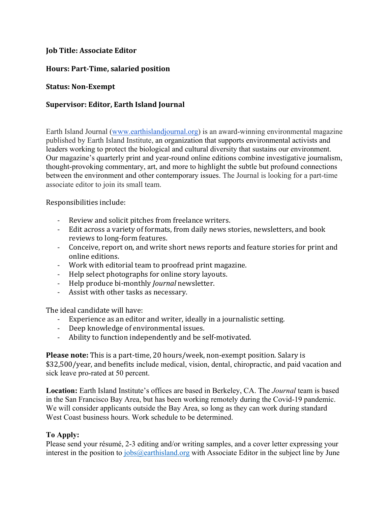## **Job Title: Associate Editor**

# **Hours: Part‐Time, salaried position**

## **Status: Non‐Exempt**

# **Supervisor: Editor, Earth Island Journal**

Earth Island Journal (www.earthislandjournal.org) is an award-winning environmental magazine published by Earth Island Institute, an organization that supports environmental activists and leaders working to protect the biological and cultural diversity that sustains our environment. Our magazine's quarterly print and year-round online editions combine investigative journalism, thought-provoking commentary, art, and more to highlight the subtle but profound connections between the environment and other contemporary issues. The Journal is looking for a part-time associate editor to join its small team.

Responsibilities include:

- ‐ Review and solicit pitches from freelance writers.
- ‐ Edit across a variety of formats, from daily news stories, newsletters, and book reviews to long-form features.
- ‐ Conceive, report on, and write short news reports and feature stories for print and online editions.
- ‐ Work with editorial team to proofread print magazine.
- ‐ Help select photographs for online story layouts.
- ‐ Help produce bi-monthly *Journal* newsletter.
- ‐ Assist with other tasks as necessary.

The ideal candidate will have:

- ‐ Experience as an editor and writer, ideally in a journalistic setting.
- ‐ Deep knowledge of environmental issues.
- ‐ Ability to function independently and be self-motivated.

**Please note:** This is a part-time, 20 hours/week, non-exempt position. Salary is \$32,500/year, and benefits include medical, vision, dental, chiropractic, and paid vacation and sick leave pro-rated at 50 percent.

**Location:** Earth Island Institute's offices are based in Berkeley, CA. The *Journal* team is based in the San Francisco Bay Area, but has been working remotely during the Covid-19 pandemic. We will consider applicants outside the Bay Area, so long as they can work during standard West Coast business hours. Work schedule to be determined.

### **To Apply:**

Please send your résumé, 2-3 editing and/or writing samples, and a cover letter expressing your interest in the position to  $i_{\text{obs}}$  (*Q*) earthisland.org with Associate Editor in the subject line by June